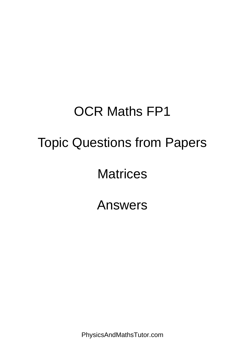## OCR Maths FP1 Topic Questions from Papers **Matrices**

Answers

PhysicsAndMathsTutor.com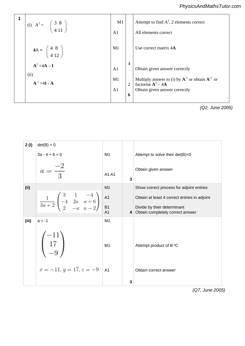| 1 | (i) $A^2 = \begin{pmatrix} 3 & 8 \\ 4 & 11 \end{pmatrix}$ | M1<br>A <sub>1</sub>                   |                                       | Attempt to find $A^2$ , 2 elements correct<br>All elements correct                                                                                 |
|---|-----------------------------------------------------------|----------------------------------------|---------------------------------------|----------------------------------------------------------------------------------------------------------------------------------------------------|
|   | $4A = \begin{pmatrix} 4 & 8 \\ 4 & 12 \end{pmatrix}$      | M1                                     |                                       | Use correct matrix 4A                                                                                                                              |
|   | $A^2 = 4A - I$<br>(ii)<br>$A^{-1} = 4I - A$               | A <sub>1</sub><br>M1<br>A <sub>1</sub> | $\overline{4}$<br>$\overline{2}$<br>6 | Obtain given answer correctly<br>Multiply answer to (i) by $A^{-1}$ or obtain $A^{-1}$ or<br>factorise $A^2 - 4A$<br>Obtain given answer correctly |

*(Q2, June 2005)*

| 2(i)  | $det(B) = 0$                                                                                                         |                |                |                                                                 |
|-------|----------------------------------------------------------------------------------------------------------------------|----------------|----------------|-----------------------------------------------------------------|
|       | $3a - 4 + 6 = 0$                                                                                                     | M1             |                | Attempt to solve their det(B)=0                                 |
|       | $a = \frac{-2}{3}$                                                                                                   | A1 A1          | 3              | Obtain given answer                                             |
| (ii)  |                                                                                                                      | M <sub>1</sub> |                | Show correct process for adjoint entries                        |
|       | $\frac{1}{3a+2} \begin{pmatrix} 3 & 1 & -4 \\ -4 & 2a & a+6 \\ 2 & -a & a-2 \end{pmatrix}$<br><b>A1</b><br><b>B1</b> |                |                | Obtain at least 4 correct entries in adjoint                    |
|       |                                                                                                                      | A <sub>1</sub> | $\overline{4}$ | Divide by their determinant<br>Obtain completely correct answer |
| (iii) | $a = -1$                                                                                                             | M1             |                |                                                                 |
|       | $\begin{pmatrix} 17 \\ -9 \end{pmatrix}$                                                                             | M1             |                | Attempt product of B-1C                                         |
|       | $x = -11, y = 17, z = -9$                                                                                            | A <sub>1</sub> |                | Obtain correct answer                                           |
|       |                                                                                                                      |                | 3              |                                                                 |

 $\overline{a}$ 

*(Q7, June 2005)*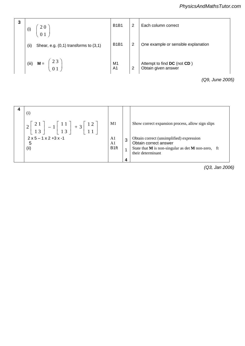| 3 | (i)   | 20<br>0 1                                 | <b>B1B1</b>          | $\overline{2}$ | Each column correct                                |
|---|-------|-------------------------------------------|----------------------|----------------|----------------------------------------------------|
|   | (i)   | Shear, e.g. $(0,1)$ transforms to $(3,1)$ | <b>B1B1</b>          | 2              | One example or sensible explanation                |
|   | (iii) | 23<br>$M =$<br>0 <sub>1</sub>             | M1<br>A <sub>1</sub> | $\overline{2}$ | Attempt to find DC (not CD)<br>Obtain given answer |
|   |       |                                           |                      |                | (Q9, June 2005)                                    |

| $\left(1\right)$<br>$\begin{array}{c c} 1 & 1 \\ 1 & 3 \end{array}$ + 3 $\begin{array}{c} \circ \\ \circ \end{array}$<br>13<br>$2 \times 5 - 1 \times 2 + 3 \times -1$ | M1<br>A1                           | 3 | Show correct expansion process, allow sign slips<br>Obtain correct (unsimplified) expression         |
|------------------------------------------------------------------------------------------------------------------------------------------------------------------------|------------------------------------|---|------------------------------------------------------------------------------------------------------|
| 5<br>(ii)                                                                                                                                                              | A <sub>1</sub><br>B <sub>1ft</sub> |   | Obtain correct answer<br>State that $M$ is non-singular as det $M$ non-zero, ft<br>their determinant |
|                                                                                                                                                                        |                                    | 4 |                                                                                                      |

*(Q3, Jan 2006)*

 $\frac{1}{2}$ 

 $\mathbf{1}_{\{1,2,3\}}$  or  $\mathbf{1}_{\{1,3,4\}}$  or  $\mathbf{1}_{\{1,3,4\}}$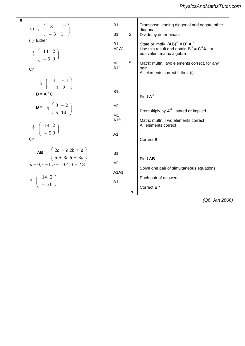| 5 |                                                                                                                                                             |                               |   |                                                                                 |
|---|-------------------------------------------------------------------------------------------------------------------------------------------------------------|-------------------------------|---|---------------------------------------------------------------------------------|
|   | (i) $\frac{1}{2} \begin{pmatrix} 8 & -2 \\ -3 & 1 \end{pmatrix}$                                                                                            | <b>B1</b>                     |   | Transpose leading diagonal and negate other<br>diagonal                         |
|   |                                                                                                                                                             | <b>B1</b>                     | 2 | Divide by determinant                                                           |
|   | (ii) Either                                                                                                                                                 | <b>B1</b>                     |   | State or imply $(AB)^{-1} = B^{-1}A^{-1}$                                       |
|   | $\frac{1}{2}$ $\begin{pmatrix} 14 & 2 \\ -5 & 0 \end{pmatrix}$                                                                                              | M <sub>1</sub> A <sub>1</sub> |   | Use this result and obtain $B^{-1} = C^{-1}A$ , or<br>equivalent matrix algebra |
|   |                                                                                                                                                             | M1                            | 5 | Matrix multn., two elements correct, for any                                    |
|   | Or                                                                                                                                                          | A <sub>1ft</sub>              |   | pair<br>All elements correct ft their (i)                                       |
|   | $\frac{1}{5}$ $\begin{pmatrix} 3 & -1 \\ -1 & 2 \end{pmatrix}$                                                                                              |                               |   |                                                                                 |
|   | $B = A^{-1} C$                                                                                                                                              | <b>B1</b>                     |   | Find $A^{-1}$                                                                   |
|   |                                                                                                                                                             | M <sub>1</sub>                |   |                                                                                 |
|   | <b>B</b> = $\frac{1}{5} \begin{pmatrix} 0 & -2 \\ 5 & 14 \end{pmatrix}$<br>$\frac{1}{2} \left( \begin{array}{c} 14 & 2 \\ -5 & 0 \end{array} \right)$<br>Or |                               |   | Premultiply by $A^{-1}$ stated or implied                                       |
|   |                                                                                                                                                             | M1<br>A <sub>1ft</sub>        |   | Matrix multn. Two elements correct<br>All elements correct                      |
|   |                                                                                                                                                             |                               |   |                                                                                 |
|   |                                                                                                                                                             | A <sub>1</sub>                |   | Correct $B^{-1}$                                                                |
|   | <b>AB</b> = $\begin{pmatrix} 2a + c & 2b + d \\ a + 3c & b + 3d \end{pmatrix}$                                                                              | <b>B1</b>                     |   |                                                                                 |
|   |                                                                                                                                                             | M1                            |   | Find AB                                                                         |
|   | $a=0, c=1, b=-0.4, d=2.8$                                                                                                                                   |                               |   | Solve one pair of simultaneous equations                                        |
|   | $\frac{1}{2}$ $\begin{pmatrix} 14 & 2 \\ -5 & 0 \end{pmatrix}$                                                                                              | A1A1                          |   | Each pair of answers                                                            |
|   |                                                                                                                                                             | A <sub>1</sub>                |   |                                                                                 |
|   |                                                                                                                                                             |                               | 7 | Correct $B^{-1}$                                                                |

*(Q6, Jan 2006)*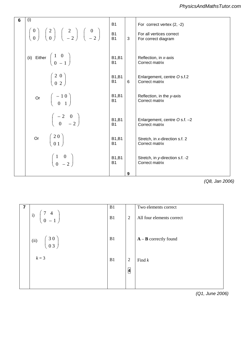| 6 | (i)                                                                                                                                                           | <b>B1</b>                 |   | For correct vertex (2, -2)                        |
|---|---------------------------------------------------------------------------------------------------------------------------------------------------------------|---------------------------|---|---------------------------------------------------|
|   | $\begin{pmatrix} 0 \\ 0 \end{pmatrix}$ $\begin{pmatrix} 2 \\ 0 \end{pmatrix}$ $\begin{pmatrix} 2 \\ -2 \end{pmatrix}$ $\begin{pmatrix} 0 \\ -2 \end{pmatrix}$ | <b>B1</b><br><b>B1</b>    | 3 | For all vertices correct<br>For correct diagram   |
|   | (ii) Either $\begin{pmatrix} 1 & 0 \\ 0 & -1 \end{pmatrix}$                                                                                                   | <b>B1,B1</b><br><b>B1</b> |   | Reflection, in x-axis<br>Correct matrix           |
|   | $\left(\begin{array}{cc} 2 & 0 \\ 0 & 2 \end{array}\right)$                                                                                                   | <b>B1,B1</b><br><b>B1</b> | 6 | Enlargement, centre O s.f.2<br>Correct matrix     |
|   | Or $\begin{pmatrix} -1 & 0 \\ 0 & 1 \end{pmatrix}$                                                                                                            | <b>B1,B1</b><br><b>B1</b> |   | Reflection, in the y-axis<br>Correct matrix       |
|   | $\left(\begin{array}{cc} -2 & 0 \\ 0 & -2 \end{array}\right)$                                                                                                 | <b>B1,B1</b><br><b>B1</b> |   | Enlargement, centre O s.f. -2<br>Correct matrix   |
|   | Or $\begin{pmatrix} 2 & 0 \\ 0 & 1 \end{pmatrix}$                                                                                                             | <b>B1,B1</b><br><b>B1</b> |   | Stretch, in x-direction s.f. 2<br>Correct matrix  |
|   | $\left(\begin{array}{cc} 1 & 0 \\ 0 & -2 \end{array}\right)$                                                                                                  | <b>B1,B1</b><br><b>B1</b> |   | Stretch, in y-direction s.f. -2<br>Correct matrix |
|   |                                                                                                                                                               |                           | 9 |                                                   |

*PMT*

*(Q8, Jan 2006)*

| 7 |                                                     | B1 |                              | Two elements correct      |
|---|-----------------------------------------------------|----|------------------------------|---------------------------|
|   | i) $\begin{pmatrix} 7 & 4 \\ 0 & -1 \end{pmatrix}$  | B1 | 2                            | All four elements correct |
|   | (ii) $\begin{pmatrix} 3 & 0 \\ 0 & 3 \end{pmatrix}$ | B1 |                              | $A - B$ correctly found   |
|   | $k = 3$                                             | B1 | 2<br>$\overline{\mathbf{4}}$ | Find $k$                  |
|   |                                                     |    |                              |                           |

*(Q1, June 2006)*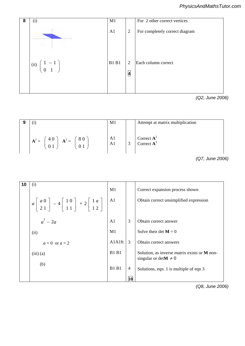

3 **4725 Mark Scheme June 2006** 

*PMT*

*PMT*

*(Q2, June 2006)*  $\mathcal{A}$  at matrix multiplication  $\mathcal{A}$ 

|                                      | M1       |                           | Attempt at matrix multiplication |
|--------------------------------------|----------|---------------------------|----------------------------------|
| 80<br>40<br>$A^2$<br>$=$<br>A<br>$=$ | A1<br>A1 | $\mathbf{c}$<br><u>لى</u> | Correct $A^2$<br>Correct $A^3$   |

*<sup>(</sup>*Q7, June 2006)

| 10 | (i)                                                                                                                                                   | M1             |    | Correct expansion process shown                                            |
|----|-------------------------------------------------------------------------------------------------------------------------------------------------------|----------------|----|----------------------------------------------------------------------------|
|    | $a\begin{bmatrix} a & 0 \\ 2 & 1 \end{bmatrix}$ - 4 $\begin{bmatrix} 1 & 0 \\ 1 & 1 \end{bmatrix}$ + 2 $\begin{bmatrix} 1 & a \\ 1 & 2 \end{bmatrix}$ | A1             |    | Obtain correct unsimplified expression                                     |
|    | $a^2-2a$                                                                                                                                              | A <sub>1</sub> | 3  | Obtain correct answer                                                      |
|    | (ii)                                                                                                                                                  | M1             |    | Solve their det $M = 0$                                                    |
|    | $a=0$ or $a=2$                                                                                                                                        | A1A1ft         | 3  | Obtain correct answers                                                     |
|    | $(iii)$ (a)                                                                                                                                           | <b>B1 B1</b>   |    | Solution, as inverse matrix exists or M non-<br>singular or det $M \neq 0$ |
|    | (b)                                                                                                                                                   | <b>B1 B1</b>   | 4  | Solutions, eqn. 1 is multiple of eqn 3                                     |
|    |                                                                                                                                                       |                | 10 |                                                                            |

*(Q8, June 2006)*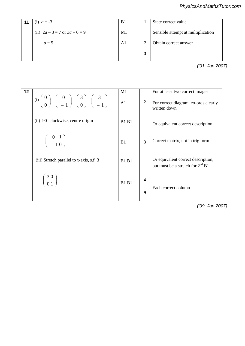|    |                           |                |                | PhysicsAndMathsTutor.com           |
|----|---------------------------|----------------|----------------|------------------------------------|
| 11 | (i) $a = -3$              | B1             | 1              | State correct value                |
|    | (ii) $2a-3=7$ or $3a-6=9$ | M1             |                | Sensible attempt at multiplication |
|    | $a=5$                     | A <sub>1</sub> | $\overline{2}$ | Obtain correct answer              |
|    |                           |                | 3              |                                    |
|    |                           |                |                | (Q1, Jan 2007)                     |
|    |                           |                |                |                                    |
|    |                           |                |                |                                    |
| 12 |                           | M1             |                | For at least two correct images    |

| 12 | (i) $\begin{pmatrix} 0 \\ 0 \end{pmatrix}$ $\begin{pmatrix} 0 \\ -1 \end{pmatrix}$ $\begin{pmatrix} 3 \\ 0 \end{pmatrix}$ $\begin{pmatrix} 3 \\ -1 \end{pmatrix}$ | M1<br>$\overline{A1}$ | $\overline{2}$                     | For at least two correct images<br>For correct diagram, co-ords.clearly<br>written down |
|----|-------------------------------------------------------------------------------------------------------------------------------------------------------------------|-----------------------|------------------------------------|-----------------------------------------------------------------------------------------|
|    | (ii) $90^{\circ}$ clockwise, centre origin                                                                                                                        | <b>B1 B1</b>          |                                    | Or equivalent correct description                                                       |
|    | $\left(\begin{array}{c} 0 & 1 \\ -1 & 0 \end{array}\right)$                                                                                                       | B <sub>1</sub>        | 3                                  | Correct matrix, not in trig form                                                        |
|    | (iii) Stretch parallel to $x$ -axis, s.f. 3                                                                                                                       | <b>B1 B1</b>          |                                    | Or equivalent correct description,<br>but must be a stretch for $2^{nd}$ B1             |
|    | $\left(\begin{array}{c} 30 \\ 01 \end{array}\right)$                                                                                                              | <b>B1 B1</b>          | $\overline{4}$<br>$\boldsymbol{Q}$ | Each correct column                                                                     |

 $+$ <sup>1</sup> +− *nnnn* +

Obtain factor of )1( <sup>4</sup> <sup>1</sup> *nn* + *(Q9, Jan 2007)*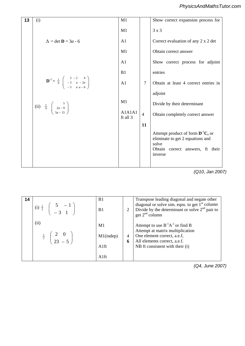| 13 | (i)                                                                                                          | M1                 |                | Show correct expansion process for                                                                                                 |
|----|--------------------------------------------------------------------------------------------------------------|--------------------|----------------|------------------------------------------------------------------------------------------------------------------------------------|
|    |                                                                                                              | M1                 |                | $3 \times 3$                                                                                                                       |
|    | $\Delta = \det \mathbf{D} = 3a - 6$                                                                          | A <sub>1</sub>     |                | Correct evaluation of any 2 x 2 det                                                                                                |
|    |                                                                                                              | M1                 |                | Obtain correct answer                                                                                                              |
|    |                                                                                                              | A <sub>1</sub>     |                | Show correct process for adjoint                                                                                                   |
|    |                                                                                                              | B1                 |                | entries                                                                                                                            |
|    | $\mathbf{D}^{-1} = \frac{1}{\Delta} \begin{pmatrix} 3 & -2 & 4 \\ -3 & a & -2a \\ -3 & a & -6 \end{pmatrix}$ | A1                 | $\overline{7}$ | Obtain at least 4 correct entries in                                                                                               |
|    |                                                                                                              |                    |                | adjoint                                                                                                                            |
|    | (ii) $\frac{1}{\Delta} \begin{pmatrix} 5 \\ 2a-9 \\ 5a-15 \end{pmatrix}$                                     | M1                 |                | Divide by their determinant                                                                                                        |
|    |                                                                                                              | A1A1A1<br>ft all 3 | $\overline{4}$ | Obtain completely correct answer                                                                                                   |
|    |                                                                                                              |                    | 11             |                                                                                                                                    |
|    |                                                                                                              |                    |                | Attempt product of form $D^{-1}C$ , or<br>eliminate to get 2 equations and<br>solve<br>Obtain correct answers, ft their<br>inverse |
|    |                                                                                                              |                    |                |                                                                                                                                    |

*(Q10, Jan 2007)*

| 14 | (i) $\frac{1}{2} \begin{pmatrix} 5 & -1 \\ -3 & 1 \end{pmatrix}$                   | B <sub>1</sub><br>B <sub>1</sub>   | $\overline{2}$ | Transpose leading diagonal and negate other<br>diagonal or solve sim. eqns. to get $1st$ column<br>Divide by the determinant or solve $2nd$ pair to<br>get $2^{nd}$ column    |
|----|------------------------------------------------------------------------------------|------------------------------------|----------------|-------------------------------------------------------------------------------------------------------------------------------------------------------------------------------|
|    | (ii)<br>$\frac{1}{2} \left( \begin{array}{c} 2 & 0 \\ 23 & -5 \end{array} \right)$ | M1<br>$M1$ (indep)<br>A1ft<br>A1ft | 4<br>6         | Attempt to use $B^{-1}A^{-1}$ or find B<br>Attempt at matrix multiplication<br>One element correct, a.e.f,<br>All elements correct, a.e.f.<br>NB ft consistent with their (i) |

*(Q4, June 2007)*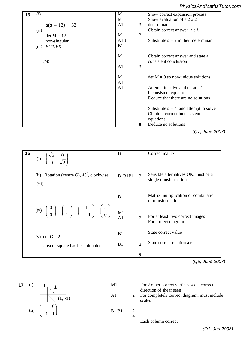## *PhysicsAndMathsTutor.com*

| 15 | (i)                                    | M1<br>M1       |                | Show correct expansion process<br>Show evaluation of a $2 \times 2$ |
|----|----------------------------------------|----------------|----------------|---------------------------------------------------------------------|
|    | $a(a - 12) + 32$                       | A1             | 3              | determinant                                                         |
|    | (ii)<br>$det M = 12$                   | M1             | $\overline{2}$ | Obtain correct answer a.e.f.                                        |
|    | non-singular<br><b>EITHER</b><br>(iii) | A1ft<br>B1     |                | Substitute $a = 2$ in their determinant                             |
|    |                                        | M1             |                | Obtain correct answer and state a                                   |
|    | <i>OR</i>                              | A1             | 3              | consistent conclusion                                               |
|    |                                        | M1<br>A1       |                | $\det M = 0$ so non-unique solutions                                |
|    |                                        | A <sub>1</sub> |                | Attempt to solve and obtain 2<br>inconsistent equations             |
|    |                                        |                |                | Deduce that there are no solutions                                  |
|    |                                        |                |                | Substitute $a = 4$ and attempt to solve                             |
|    |                                        |                |                | Obtain 2 correct inconsistent<br>equations                          |
|    |                                        |                | 8              | Deduce no solutions                                                 |

 $\overline{O7}$   $\overline{R}$ N.B. treat 2 diagrams asa MR *(Q7, June 2007)*

| 16 | $\begin{pmatrix} \sqrt{2} & 0 \\ 0 & \sqrt{2} \end{pmatrix}$<br>(i)                                                                                                  | B1             | 1              | Correct matrix                                               |
|----|----------------------------------------------------------------------------------------------------------------------------------------------------------------------|----------------|----------------|--------------------------------------------------------------|
|    | (ii) Rotation (centre O), $45^{\circ}$ , clockwise<br>(iii)                                                                                                          | B1B1B1         | $\overline{3}$ | Sensible alternatives OK, must be a<br>single transformation |
|    |                                                                                                                                                                      | B1             | $\mathbf{1}$   | Matrix multiplication or combination<br>of transformations   |
|    | (iv) $\begin{pmatrix} 0 \\ 0 \end{pmatrix}$ $\begin{pmatrix} 1 \\ 1 \end{pmatrix}$ $\begin{pmatrix} 1 \\ -1 \end{pmatrix}$ $\begin{pmatrix} 2 \\ 0 \end{pmatrix}$ M1 | A <sub>1</sub> | $\overline{2}$ | For at least two correct images<br>For correct diagram       |
|    | (v) det $C = 2$                                                                                                                                                      | B1             |                | State correct value                                          |
|    | area of square has been doubled                                                                                                                                      | B1             | $\overline{2}$ | State correct relation a.e.f.                                |
|    |                                                                                                                                                                      |                | 9              |                                                              |

Attempt to equate real and imaginary *(Q9, June 2007)*

*x*

*PMT*

*PMT*

| $(1 - 1)$<br>(ii) | M1<br>A1<br><b>B1 B1</b> | 4 | For 2 other correct vertices seen, correct<br>direction of shear seen<br>For completely correct diagram, must include<br>scales<br>Each column correct |
|-------------------|--------------------------|---|--------------------------------------------------------------------------------------------------------------------------------------------------------|
|                   |                          |   | $\ln n$ 200<br>$\sqrt{21}$                                                                                                                             |

*(Q1, Jan 2008)*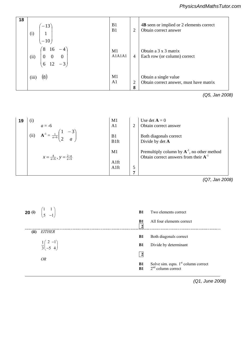| PMT | 18 | $-13$<br>(i)<br>$-10$                                                                            | B1<br>B1             | $\overline{2}$      | 4B seen or implied or 2 elements correct<br>Obtain correct answer |
|-----|----|--------------------------------------------------------------------------------------------------|----------------------|---------------------|-------------------------------------------------------------------|
|     |    | $\mathbf{8}^{\circ}$<br>16<br>$-4$<br>$0 \quad 0$<br>$\boldsymbol{0}$<br>(ii)<br>$-3$<br>12<br>6 | M1<br>A1A1A1         | $\overline{4}$      | Obtain a 3 x 3 matrix<br>Each row (or column) correct             |
|     |    | (8)<br>(iii)                                                                                     | M1<br>A <sub>1</sub> | $\overline{2}$<br>8 | Obtain a single value<br>Obtain correct answer, must have matrix  |

*(Q5, Jan 2008)* State or obtain algebraically that *y* = 2

| 19  | $\left(1\right)$ |                                             | M1                     |                | Use det $A = 0$                                                                                |
|-----|------------------|---------------------------------------------|------------------------|----------------|------------------------------------------------------------------------------------------------|
|     |                  | $a = -6$                                    | A <sub>1</sub>         | $\overline{2}$ | Obtain correct answer                                                                          |
|     | (ii)             |                                             | B1<br>B <sub>1ft</sub> |                | Both diagonals correct<br>Divide by det A                                                      |
| PMT |                  | $x = \frac{4}{a+6}$ , $y = \frac{2-a}{a+6}$ | M1                     |                | Premultiply column by $A^{-1}$ , no other method<br>Obtain correct answers from their $A^{-1}$ |
|     |                  |                                             | A <sub>1ft</sub>       |                |                                                                                                |
|     |                  |                                             | A1ft                   | 5              |                                                                                                |
|     |                  |                                             |                        | Η,             |                                                                                                |

*(Q7, Jan 2008)*

|      | <b>20 (i)</b> $\begin{pmatrix} 1 & 1 \\ 5 & -1 \end{pmatrix}$                           | <b>B1</b>                   | Two elements correct                                       |
|------|-----------------------------------------------------------------------------------------|-----------------------------|------------------------------------------------------------|
|      |                                                                                         | <b>B1</b><br>$\overline{2}$ | All four elements correct                                  |
| (ii) | <i>EITHER</i>                                                                           | <b>B1</b>                   | Both diagonals correct                                     |
|      | $\frac{1}{3}\begin{pmatrix} 2 & -1 \\ -5 & 4 \end{pmatrix}$ $\alpha \beta \alpha \beta$ | <b>B1</b>                   | Divide by determinant                                      |
|      | <b>OR</b>                                                                               | $\overline{2}$              |                                                            |
|      |                                                                                         | <b>B1</b><br>B1             | Solve sim. eqns. $1st$ column correct $2nd$ column correct |

 $\mathbf{U}$  is new sum and product correctly in the product correctly in the product correctly in the product correctly in the product correctly in the product correctly in the product correctly in the product correctly in t  $Q_{1}$ , surient  $Q_{2}$ , surient  $\alpha$ *(Q1, June 2008)*

Ξ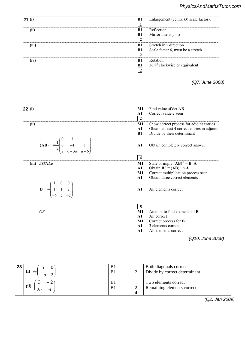| 21(i)                                                                                              |    | B1<br>$\overline{1}$    | Enlargement (centre $O$ ) scale factor 6                                          |
|----------------------------------------------------------------------------------------------------|----|-------------------------|-----------------------------------------------------------------------------------|
| (ii)                                                                                               |    | B1                      | Reflection                                                                        |
|                                                                                                    |    | <b>B1</b>               | Mirror line is $y = x$                                                            |
|                                                                                                    |    | $\overline{\mathbf{2}}$ |                                                                                   |
| (iii)                                                                                              |    | B1                      | Stretch in y direction                                                            |
|                                                                                                    |    | B1                      | Scale factor 6, must be a stretch                                                 |
|                                                                                                    |    | $\overline{\mathbf{c}}$ |                                                                                   |
| (iv)                                                                                               |    | B1                      | Rotation                                                                          |
|                                                                                                    |    | B1                      | 36.9° clockwise or equivalent                                                     |
|                                                                                                    |    | $\overline{2}$          |                                                                                   |
|                                                                                                    |    |                         | (Q7, June 2008)                                                                   |
| 22(i)                                                                                              |    | $M1$                    | Find value of det AB                                                              |
|                                                                                                    |    | ${\bf A1}$              | Correct value 2 seen                                                              |
|                                                                                                    |    | $\overline{\mathbf{c}}$ |                                                                                   |
| (ii)                                                                                               |    | M1                      | Show correct process for adjoint entries                                          |
|                                                                                                    |    | $\mathbf{A1}$           | Obtain at least 4 correct entries in adjoint                                      |
|                                                                                                    |    | B1                      | Divide by their determinant                                                       |
|                                                                                                    |    |                         |                                                                                   |
|                                                                                                    |    | ${\bf A1}$              | Obtain completely correct answer                                                  |
| $(AB)^{-1} = \frac{1}{2} \begin{pmatrix} 0 & 3 & -1 \\ 0 & -1 & 1 \\ 2 & 6-3a & a-6 \end{pmatrix}$ |    |                         |                                                                                   |
|                                                                                                    |    | $\overline{\mathbf{4}}$ |                                                                                   |
| (iii) EITHER                                                                                       |    | M1                      |                                                                                   |
|                                                                                                    |    | A1                      | State or imply $(AB)^{-1} = B^{-1}A^{-1}$<br>Obtain $B^{-1} = (AB)^{-1} \times A$ |
|                                                                                                    |    | $M1$                    | Correct multiplication process seen                                               |
|                                                                                                    |    | A1                      | Obtain three correct elements                                                     |
|                                                                                                    |    |                         |                                                                                   |
| $\mathbf{B}^{-1} = \begin{pmatrix} 1 & 0 & 0 \\ 1 & 1 & 2 \\ -6 & 2 & -2 \end{pmatrix}$            |    | ${\bf A1}$              | All elements correct                                                              |
|                                                                                                    |    |                         |                                                                                   |
|                                                                                                    |    |                         |                                                                                   |
|                                                                                                    |    |                         |                                                                                   |
|                                                                                                    |    | $\overline{\mathbf{5}}$ |                                                                                   |
| <b>OR</b>                                                                                          |    | M1<br>A1                | Attempt to find elements of <b>B</b><br>All correct                               |
|                                                                                                    |    | $M1$                    | Correct process for $B^{-1}$                                                      |
|                                                                                                    |    | A1                      | 3 elements correct                                                                |
|                                                                                                    |    | A1                      | All elements correct                                                              |
|                                                                                                    |    |                         | (Q10, June 2008)                                                                  |
|                                                                                                    |    |                         |                                                                                   |
|                                                                                                    |    |                         |                                                                                   |
| 23<br>5<br>$\overline{0}$                                                                          | B1 |                         | Both diagonals correct                                                            |
| (i) $\frac{1}{10}$<br>$\left( \frac{1}{2} \right)$                                                 | B1 | $\overline{2}$          | Divide by correct determinant                                                     |
|                                                                                                    |    |                         |                                                                                   |
| $-2$ <sup><math>\backsim</math></sup><br>$\mathfrak{Z}$                                            | B1 |                         | Two elements correct                                                              |
| (ii)<br>2a                                                                                         | B1 | $\overline{2}$          | Remaining elements correct                                                        |
|                                                                                                    |    | 4                       |                                                                                   |

*(Q2, Jan 2009)*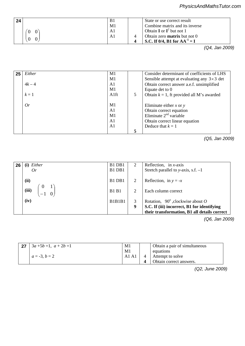|                  |    | <u>FillySicSAHulvialis Futul.co</u> |
|------------------|----|-------------------------------------|
| 24               | B1 | State or use correct result         |
|                  | M1 | Combine matrix and its inverse      |
|                  | A1 | Obtain <b>I</b> or $I^2$ but not 1  |
|                  | A1 | Obtain zero <b>matrix</b> but not 0 |
| $\boldsymbol{0}$ |    | S.C. If 0/4, B1 for $AA^{-1} = I$   |
|                  |    | In 2000<br>$\sqrt{\triangle}$       |

 $(Q4, Jan 20)$  $\frac{1}{\mathsf{X}}$ *(Q4, Jan 2009)*

| 25 | Either   | M1   |   | Consider determinant of coefficients of LHS         |
|----|----------|------|---|-----------------------------------------------------|
|    |          | M1   |   | Sensible attempt at evaluating any $3 \times 3$ det |
|    | $4k - 4$ | A1   |   | Obtain correct answer a.e.f. unsimplified           |
|    |          | M1   |   | Equate det to 0                                     |
|    | $k=1$    | Alft | 5 | Obtain $k = 1$ , ft provided all M's awarded        |
|    | Or       | M1   |   | Eliminate either $x$ or $y$<br>$\times$             |
|    |          | A1   |   | Obtain correct equation                             |
|    |          | M1   |   | Eliminate $2nd$ variable                            |
|    |          | A1   |   | Obtain correct linear equation                      |
|    |          | A1   |   | Deduce that $k = 1$                                 |
|    |          |      | 5 |                                                     |

*(Q5, Jan 2009)*

| 26 | Either<br>0r                        | B1 DB1<br>B1 DB1 | 2      | Reflection, in $x$ -axis<br>Stretch parallel to y-axis, s.f. $-1$                                                                       |
|----|-------------------------------------|------------------|--------|-----------------------------------------------------------------------------------------------------------------------------------------|
|    | (ii)                                | B1 DB1           | 2      | Reflection, in $y = -x$                                                                                                                 |
|    | $\theta$<br>(iii)<br>$\overline{0}$ | <b>B1 B1</b>     | 2      | Each column correct                                                                                                                     |
|    | (iv)                                | B1B1B1           | 3<br>9 | Rotation, $90^\circ$ , clockwise about O<br>S.C. If (iii) incorrect, B1 for identifying<br>their transformation, B1 all details correct |

*(Q6, Jan 2009)*

| 27 | $3a + 5b = 1$ , $a + 2b = 1$ | M1      | Obtain a pair of simultaneous |
|----|------------------------------|---------|-------------------------------|
|    |                              | M1      | equations                     |
|    | $a = -3, b = 2$              | - A1 A1 | Attempt to solve              |
|    |                              |         | Obtain correct answers.       |

Correct real and imaginary parts *(Q2, June 2009)*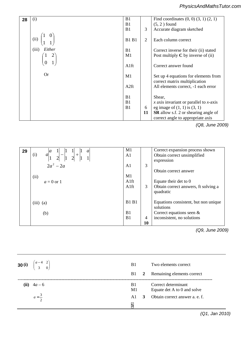| 28 | (i)             | B1           |                | Find coordinates $(0, 0)$ $(3, 1)$ $(2, 1)$ |
|----|-----------------|--------------|----------------|---------------------------------------------|
|    |                 | B1           |                | $(5, 2)$ found                              |
|    |                 | B1           | 3              | Accurate diagram sketched                   |
|    | (ii)            | <b>B1 B1</b> | $\overline{2}$ | Each column correct                         |
|    | (iii)<br>Either | B1           |                | Correct inverse for their (ii) stated       |
|    |                 | M1           |                | Post multiply $C$ by inverse of (ii)        |
|    |                 |              |                |                                             |
|    |                 | A1ft         |                | Correct answer found                        |
|    |                 |              |                |                                             |
|    | <b>Or</b>       | M1           |                | Set up 4 equations for elements from        |
|    |                 |              |                | correct matrix multiplication               |
|    |                 | A2ft         |                | All elements correct, -1 each error         |
|    |                 |              |                |                                             |
|    |                 | B1           |                | Shear,                                      |
|    |                 | B1           |                | $x$ axis invariant or parallel to $x$ -axis |
|    |                 | B1           | 6              | eg image of $(1, 1)$ is $(3, 1)$            |
|    |                 |              | 11             | <b>SR</b> allow s.f. 2 or shearing angle of |
|    |                 |              |                | correct angle to appropriate axis           |

*PMT*

*PMT*

*(Q8, June 2009)*

| 29<br>$\mathfrak{a}$<br> a <br>$\perp$<br>$+ ^{1}$<br>$\frac{1}{2}$<br>(i)<br>$\overline{2}$<br>$\overline{2}$ | M1<br>A <sub>1</sub> |                      | Correct expansion process shown<br>Obtain correct unsimplified<br>expression |
|----------------------------------------------------------------------------------------------------------------|----------------------|----------------------|------------------------------------------------------------------------------|
| $2a^2 - 2a$                                                                                                    | A1                   | 3                    | Obtain correct answer                                                        |
| (ii)<br>$a=0$ or 1                                                                                             | M1<br>A1ft<br>A1ft   | 3                    | Equate their det to 0<br>Obtain correct answers, ft solving a<br>quadratic   |
| $(iii)$ (a)                                                                                                    | <b>B1 B1</b>         |                      | Equations consistent, but non unique<br>solutions                            |
| (b)                                                                                                            | B1<br>B <sub>1</sub> | $\overline{4}$<br>10 | Correct equations seen $\&$<br>inconsistent, no solutions                    |

Attempt to find next 2 terms *(Q9, June 2009)* Obtain correct answers **4725 Mark Scheme January 2010** 

| <b>30 (i)</b> $\begin{pmatrix} a-4 & 2 \\ 3 & 0 \end{pmatrix}$ | B1         |                | Two elements correct                               |
|----------------------------------------------------------------|------------|----------------|----------------------------------------------------|
|                                                                | <b>B</b> 1 | $\overline{2}$ | Remaining elements correct                         |
| (ii) $4a - 6$                                                  | B1<br>M1   |                | Correct determinant<br>Equate det A to 0 and solve |
| $a=\frac{3}{2}$                                                | A1<br>5    | 3              | Obtain correct answer a. e. f.                     |
|                                                                |            |                |                                                    |

**2 (i)** 133 <sup>23</sup> − + *uuu* − B1 Correct unsimplified expansion of *(Q1, Jan 2010)*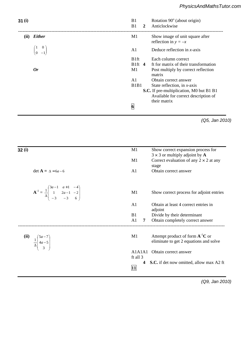| 31(i) |                                                                                                                    | B1<br>B1                                  | $\overline{2}$ | Rotation 90° (about origin)<br>Anticlockwise                                                                                                |
|-------|--------------------------------------------------------------------------------------------------------------------|-------------------------------------------|----------------|---------------------------------------------------------------------------------------------------------------------------------------------|
|       | (ii) Either                                                                                                        | M1                                        |                | Show image of unit square after<br>reflection in $y = -x$                                                                                   |
|       | $\begin{pmatrix} 1 & 0 \\ 0 & -1 \end{pmatrix}$                                                                    | A1                                        |                | Deduce reflection in $x$ -axis                                                                                                              |
|       | <b>Or</b>                                                                                                          | <b>B1ft</b><br>B <sub>1ft</sub> $4$<br>M1 |                | Each column correct<br>ft for matrix of their transformation<br>Post multiply by correct reflection<br>matrix                               |
|       |                                                                                                                    | A1<br>B <sub>1</sub> B <sub>1</sub>       |                | Obtain correct answer<br>State reflection, in $x$ -axis<br>S.C. If pre-multiplication, M0 but B1 B1<br>Available for correct description of |
|       |                                                                                                                    | $\overline{6}$                            |                | their matrix                                                                                                                                |
|       |                                                                                                                    |                                           |                | (Q5, Jan 2010)<br>$\sum$                                                                                                                    |
| 32(i) |                                                                                                                    | M1                                        |                | Show correct expansion process for<br>$3 \times 3$ or multiply adjoint by A                                                                 |
|       | $\det A = \Delta = 6a - 6$                                                                                         | M1<br>A1                                  |                | Correct evalgestion of any $2 \times 2$ at any<br>stage<br>Obtain correct answer                                                            |
|       | $\mathbf{A}^{-1} = \frac{1}{\Delta} \begin{pmatrix} 3a-1 & a+1 & -4 \\ 1 & 2a-1 & -2 \\ -3 & -3 & 6 \end{pmatrix}$ | M1                                        |                | Show correct process for adjoint entries                                                                                                    |
|       |                                                                                                                    | A1                                        |                | Obtain at least 4 correct entries in                                                                                                        |
|       |                                                                                                                    | B1<br>A1                                  | 7              | adjoint<br>Divide by their determinant<br>Obtain completely correct answer                                                                  |
| (ii)  | $\frac{1}{\Delta} \begin{pmatrix} 5a-7 \\ 4a-5 \\ 3 \end{pmatrix}$                                                 | M1                                        |                | Attempt product of form $\mathbf{A}^{-1}\mathbf{C}$ or<br>eliminate to get 2 equations and solve                                            |
|       |                                                                                                                    | A1A1A1                                    |                | Obtain correct answer                                                                                                                       |
|       |                                                                                                                    | ft all 3                                  |                |                                                                                                                                             |

*PMT*

 $1 Q9,$ *(Q9, Jan 2010)*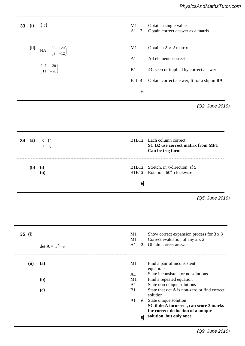| PMT | 33       | (i)    | $(-7)$                                                  | M1<br>$A1$ 2                            | Obtain a single value<br>Obtain correct answer as a matrix                                                                                                                                                                             |
|-----|----------|--------|---------------------------------------------------------|-----------------------------------------|----------------------------------------------------------------------------------------------------------------------------------------------------------------------------------------------------------------------------------------|
|     |          | (ii)   | $BA = \begin{pmatrix} 5 & -20 \\ 3 & -12 \end{pmatrix}$ | M1                                      | Obtain a $2 \times 2$ matrix                                                                                                                                                                                                           |
|     |          |        |                                                         | A1                                      | All elements correct                                                                                                                                                                                                                   |
|     |          |        | $\begin{pmatrix} -7 & -20 \\ 11 & -20 \end{pmatrix}$    | B1                                      | 4C seen or implied by correct answer                                                                                                                                                                                                   |
|     |          |        |                                                         | B1ft4                                   | Obtain correct answer, ft for a slip in BA                                                                                                                                                                                             |
|     |          |        |                                                         | $\overline{6}$                          |                                                                                                                                                                                                                                        |
| PMT |          |        |                                                         |                                         | (Q2, June 2010)                                                                                                                                                                                                                        |
|     |          | 34 (a) | $\begin{pmatrix} 0 & 1 \\ 1 & 0 \end{pmatrix}$          | B1B12                                   | Each column correct<br>SC B2 use correct matrix from MF1<br>Can be trig form                                                                                                                                                           |
|     |          | (b)    | (i)<br>(ii)                                             | B1B12<br><b>B1B12</b><br>$\overline{6}$ | Stretch, in $x$ -direction sf 5<br>Rotation, 60° clockwise                                                                                                                                                                             |
|     |          |        |                                                         |                                         | (Q5, June 2010)                                                                                                                                                                                                                        |
|     | $35$ (i) |        | $\det A = a^2 - a$                                      | M1<br>M1<br>A1<br>3 <sup>1</sup>        | Show correct expansion process for 3 x 3<br>Correct evaluation of any 2 x 2<br>Obtain correct answer                                                                                                                                   |
|     |          | (ii)   | (a)<br>(b)<br>(c)                                       | M1<br>A1<br>M1<br>A1<br>B1              | Find a pair of inconsistent<br>equations<br>State inconsistent or no solutions<br>Find a repeated equation<br>State non unique solutions<br>State that det A is non-zero or find correct<br>solution<br><b>6</b> State unique solution |
|     |          |        |                                                         | B1<br>$\overline{9}$                    | SC if detA incorrect, can score 2 marks<br>for correct deduction of a unique<br>solution, but only once                                                                                                                                |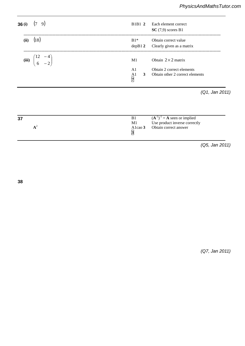| 36(i) | (7 9)                                                   | B <sub>1</sub> B <sub>1</sub> 2                                      | Each element correct<br>$SC(7,9)$ scores B1                  |
|-------|---------------------------------------------------------|----------------------------------------------------------------------|--------------------------------------------------------------|
| (ii)  | (18)                                                    | $B1*$                                                                | Obtain correct value<br>$depB12$ Clearly given as a matrix   |
|       | (iii) $\begin{pmatrix} 12 & -4 \\ 6 & -2 \end{pmatrix}$ | M1                                                                   | Obtain $2 \times 2$ matrix                                   |
|       |                                                         | A <sub>1</sub><br>3 <sup>1</sup><br>A <sub>1</sub><br>$\overline{7}$ | Obtain 2 correct elements<br>Obtain other 2 correct elements |
|       |                                                         |                                                                      | (Q1, Jan 2011)                                               |

depA1 **4** Specific statement of induction conclusion

| 37 | B <sub>1</sub> | $(A^{-1})^{-1} = A$ seen or implied |
|----|----------------|-------------------------------------|
|    | M1             | Use product inverse correctly       |
|    |                | Alcao 3 Obtain correct answer       |
|    | I٦             |                                     |
|    |                |                                     |

*(Q5, Jan 2011)*

 **4 38**

 $\mathcal{L}$ *(Q7, Jan 2011)*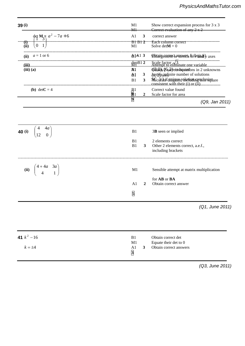| 39(i)                                                 | M1<br>Show correct expansion process for 3 x 3<br>Correct evaluation of any $2 \times 2$<br>M <sub>1</sub> |                |
|-------------------------------------------------------|------------------------------------------------------------------------------------------------------------|----------------|
| $\oint_1^4 M_3 \overline{\eta} a^2 - 7a + 6$          | A <sub>1</sub><br>3<br>correct answer                                                                      |                |
| (i)-<br>(ii)<br>$\begin{bmatrix} 0 & 1 \end{bmatrix}$ | $-B1-B1-2-$<br>Each column correct ---------------------<br>M1<br>Solve det $M = 0$                        |                |
| $a = 1$ or 6<br>(ii)                                  | A1A13<br>$\Theta$ htaigenenctaunen finderind $\lambda$ axes                                                |                |
| (iii)                                                 | Scale factor $\sqrt{3}$<br>Attempt to eliminate one variable<br>$\frac{1}{\text{NPP}}$ 2                   |                |
| $(iii)$ $(a)$                                         | <b>QBtal), (Gcd)</b> eindiquations in 2 unknowns<br>B <sub>1</sub>                                         |                |
|                                                       | Institutions and interventions<br>$\mathbf{A}1$<br>3                                                       |                |
|                                                       | Sccarate dunguns olution agradusiquare<br>3<br>B1                                                          |                |
| ( <b>b</b> ) $det C = 4$                              | Correct value found                                                                                        |                |
|                                                       | $\frac{B1}{B1}$<br>Scale factor for area<br>$\mathbf{2}$                                                   |                |
|                                                       | $\overline{\mathbf{9}}$                                                                                    | (Q9, Jan 2011) |
| $4a\alpha \beta$<br>40 (i)                            | B1<br>3B seen or implied                                                                                   |                |
|                                                       |                                                                                                            |                |
|                                                       | $\mathcal{U}$ elements contrect<br>B1                                                                      |                |
|                                                       | Other 2 elements correct, a.e.f.,<br>B1<br>3<br>including brackets                                         |                |

3/3 only for fully correct answer.

| (ii) $\begin{pmatrix} 4+4a & 3a \\ 4 & 1 \end{pmatrix}$ | M1 | Sensible attempt at matrix multiplication                |
|---------------------------------------------------------|----|----------------------------------------------------------|
|                                                         |    | for <b>AB</b> or <b>BA</b><br>A1 2 Obtain correct answer |
|                                                         | 5  |                                                          |
|                                                         |    |                                                          |

6

*p* = A1 Obtain **given** answer correctly **2** B1 Establish result true for *n* = 1 or 2 *(Q1, June 2011) Combine with complete denominators*  $Q_1$ , June

| 41 $k^2$ – 16<br>$k = \pm 4$ | B1<br>M1<br>3<br>A1<br>$\overline{\mathbf{3}}$ | Obtain correct det<br>Equate their det to 0<br>Obtain correct answers |
|------------------------------|------------------------------------------------|-----------------------------------------------------------------------|
|                              |                                                |                                                                       |

**4** M1 Express as sum of two series *(Q3, June 2011)*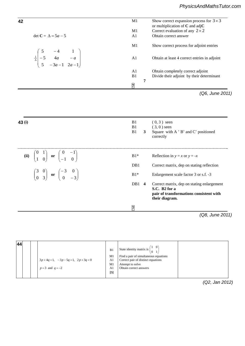| 42                                                                                                                  | M1             |                | Show correct expansion process for $3 \times 3$<br>or multiplication of $C$ and adj $C$                                  |
|---------------------------------------------------------------------------------------------------------------------|----------------|----------------|--------------------------------------------------------------------------------------------------------------------------|
|                                                                                                                     | M1             |                | Correct evaluation of any $2 \times 2$                                                                                   |
| det $C = \Delta = 5a - 5$                                                                                           | A1             |                | Obtain correct answer                                                                                                    |
|                                                                                                                     | M1             |                | Show correct process for adjoint entries                                                                                 |
| $\begin{array}{c cc}\n & 3 & -4 & 1 \\ \hline\n\frac{1}{\Delta} & -5 & 4a & -a \\  & 5 & -3a-1 & 2a-1\n\end{array}$ | A1             |                | Obtain at least 4 correct entries in adjoint                                                                             |
|                                                                                                                     | A1<br>B1       |                | Obtain completely correct adjoint<br>Divide their adjoint by their determinant                                           |
|                                                                                                                     |                | 7              |                                                                                                                          |
|                                                                                                                     | 7              |                |                                                                                                                          |
|                                                                                                                     |                |                | (Q6, June 2011)                                                                                                          |
|                                                                                                                     |                |                |                                                                                                                          |
|                                                                                                                     | B1<br>B1<br>B1 | 3 <sup>1</sup> | $(0, 3)$ seen<br>$(3,0)$ seen<br>Square with A ' B' and C' positioned<br>correctly                                       |
|                                                                                                                     | $B1*$          |                | Reflection in $y = x$ or $y = -x$                                                                                        |
| (ii) $\begin{pmatrix} 0 & 1 \\ 1 & 0 \end{pmatrix}$ or $\begin{pmatrix} 0 & -1 \\ -1 & 0 \end{pmatrix}$             | DB1            |                | Correct matrix, dep on stating reflection                                                                                |
| $\begin{pmatrix} 3 & 0 \\ 0 & 3 \end{pmatrix}$ or $\begin{pmatrix} -3 & 0 \\ 0 & -3 \end{pmatrix}$                  | $B1*$          |                | Enlargement scale factor 3 or s.f. -3                                                                                    |
| 43(i)                                                                                                               | DB1 4          |                | Correct matrix, dep on stating enlargement<br>S.C. B2 for a<br>pair of transformations consistent with<br>their diagram. |

*(Q8, June 2011)*

| 44 | $3p+4q=1$ , $-3p-5q=1$ , $2p+3q=0$<br>$p=3$ and $q=-2$ | B1<br>M1<br>A <sub>1</sub><br>M1<br>A <sub>1</sub> | State identity matrix is $\begin{pmatrix} 1 & 0 \\ 0 & 1 \end{pmatrix}$<br>Find a pair of simultaneous equations<br>Correct pair of distinct equations<br>Attempt to solve<br>Obtain correct answers |  |
|----|--------------------------------------------------------|----------------------------------------------------|------------------------------------------------------------------------------------------------------------------------------------------------------------------------------------------------------|--|
|    |                                                        | $\left[5\right]$                                   |                                                                                                                                                                                                      |  |

4 2 4 2 *xx yy* 3 18 0 or 3 18 0 M1 Eliminate to obtain quadratic in *x*

*x y* r r 6 or 3 A1 Both values correct

*PMT*

*(Q2, Jan 2012)*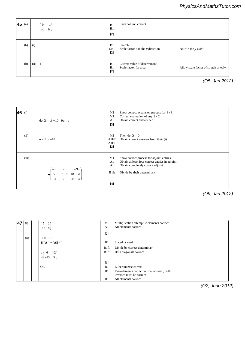| $ 45 $ (a) |      | $0 -1$<br>$\begin{pmatrix} -1 & 0 \end{pmatrix}$ | B1<br>B1<br>$[2]$  | Each column correct                                   |                                        |
|------------|------|--------------------------------------------------|--------------------|-------------------------------------------------------|----------------------------------------|
| (b)        | (i)  |                                                  | B1<br>DB1<br>$[2]$ | Stretch<br>Scale factor 4 in the y direction          | Not "in the y-axis"                    |
| (b)        | (ii) | $\overline{4}$                                   | B1<br>B1<br>$[2]$  | Correct value of determinant<br>Scale factor for area | Allow scale factor of stretch or eqiv. |
|            |      |                                                  |                    |                                                       | (Q5, Jan 2012)                         |

*<sup>n</sup>*

<sup>4</sup> *nn n n* ( 1)( 3)( 2) A1 Obtain correct answer

B1 Passing through *O* and crosses y-axis again

B1 Line, with correct slope shown

**n n b**<sub>1</sub> **n b**<sub>1</sub> **n b**<sub>1</sub> **d**<sub>1</sub> **d**<sub>1</sub> **d**<sub>1</sub> **d**<sub>1</sub> **d**<sub>1</sub> **d**<sub>1</sub> **d**<sub>1</sub>

| 46 | (i)   | $\det \mathbf{X} = \Delta = 10 - 9a - a^2$                                                      | M1<br>M1<br>A <sub>1</sub><br>$\lceil 3 \rceil$                   | Show correct expansion process for $3\times3$<br>Correct evaluation of any $2 \times 2$<br>Obtain correct answer aef                                            |
|----|-------|-------------------------------------------------------------------------------------------------|-------------------------------------------------------------------|-----------------------------------------------------------------------------------------------------------------------------------------------------------------|
|    | (ii)  | $a = 1$ or $-10$                                                                                | M1<br>A1FT<br>A1FT<br>$\lceil 3 \rceil$                           | Their det $X = 0$<br>Obtain correct answers from their (i)                                                                                                      |
|    | (iii) | $\frac{1}{4} \begin{pmatrix} -a & 2 & 6-9a \\ 5 & -a-9 & 18-3a \\ -a & 2 & a^2-4 \end{pmatrix}$ | M1<br>A <sub>1</sub><br>A <sub>1</sub><br>B <sub>1ft</sub><br>[4] | Show correct process for adjoint entries<br>Obtain at least four correct entries in adjoint<br>Obtain completely correct adjoint<br>Divide by their determinant |

 $\alpha + \beta + \gamma$  $\alpha \beta + \beta \gamma$  y continuous by continuous correct value of  $\beta$  multiply by conjugate or find a set of  $\alpha$ 

 $\ddot{\phantom{1}}$ 

*PMT*

*PMT*

*(Q9, Jan 2012)*

| 47 | (i)  | $2^{\circ}$<br>5<br>6 <sub>1</sub><br>13 | M1<br>A <sub>1</sub> | Multiplication attempt, 2 elements correct<br>All elements correct |
|----|------|------------------------------------------|----------------------|--------------------------------------------------------------------|
|    |      |                                          | $[2]$                |                                                                    |
|    | (ii) | <b>EITHER</b>                            |                      |                                                                    |
|    |      | $B^{-1}A^{-1} = (AB)^{-1}$               | B1                   | Stated or used                                                     |
|    |      |                                          | B <sub>1ft</sub>     | Divide by correct determinant                                      |
|    |      | $-2$<br>6                                | B <sub>1ft</sub>     | Both diagonals correct                                             |
|    |      | $\frac{1}{4}$ -13<br>5 <sup>5</sup>      |                      |                                                                    |
|    |      |                                          | $[3]$                |                                                                    |
|    |      | <b>OR</b>                                | B1                   | Either inverse correct                                             |
|    |      |                                          | B1                   | Two elements correct in final answer, both                         |
|    |      |                                          |                      | inverses must be correct                                           |
|    |      |                                          | B1                   | All elements correct                                               |

*(Q2, June 2012)*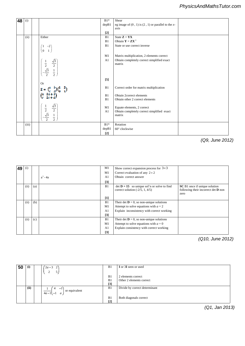| 48 | (i)   |                                                                                                       | $B1*$ | Shear                                                  |  |
|----|-------|-------------------------------------------------------------------------------------------------------|-------|--------------------------------------------------------|--|
|    |       |                                                                                                       | depB1 | eg image of $(0, 1)$ is $(2, 1)$ or parallel to the x- |  |
|    |       |                                                                                                       |       | axis                                                   |  |
|    |       |                                                                                                       | $[2]$ |                                                        |  |
|    | (ii)  | Either                                                                                                | B1    | State $Z = YX$                                         |  |
|    |       |                                                                                                       | B1    | Obtain $Y = ZX^{-1}$                                   |  |
|    |       | $-2)$<br>1                                                                                            | B1    | State or use correct inverse                           |  |
|    |       | $\overline{0}$                                                                                        |       |                                                        |  |
|    |       |                                                                                                       | M1    | Matrix multiplication, 2 elements correct              |  |
|    |       | $\begin{pmatrix} \frac{1}{2} & \frac{\sqrt{3}}{2} \\ -\frac{\sqrt{3}}{2} & \frac{1}{2} \end{pmatrix}$ | A1    | Obtain completely correct simplified exact             |  |
|    |       |                                                                                                       |       | matrix                                                 |  |
|    |       |                                                                                                       |       |                                                        |  |
|    |       |                                                                                                       |       |                                                        |  |
|    |       |                                                                                                       | $[5]$ |                                                        |  |
|    |       | <b>Or</b>                                                                                             |       |                                                        |  |
|    |       | $Z = \begin{pmatrix} a & b \\ c & d \end{pmatrix} \begin{pmatrix} 1 & 2 \\ 0 & 1 \end{pmatrix}$       | B1    | Correct order for matrix multiplication                |  |
|    |       | f G                                                                                                   | B1    | Obtain 2correct elements                               |  |
|    |       | <b>e</b>                                                                                              | B1    | Obtain other 2 correct elements                        |  |
|    |       |                                                                                                       |       |                                                        |  |
|    |       | $\frac{\sqrt{3}}{2}$ $\frac{1}{2}$<br>$rac{1}{2}$<br>$rac{\sqrt{3}}{2}$                               | M1    | Equate elements, 2 correct                             |  |
|    |       |                                                                                                       | A1    | Obtain completely correct simplified exact             |  |
|    |       |                                                                                                       |       | matrix                                                 |  |
|    |       |                                                                                                       |       |                                                        |  |
|    | (iii) |                                                                                                       | $B1*$ | Rotation                                               |  |
|    |       |                                                                                                       | depB1 | 60° clockwise                                          |  |
|    |       |                                                                                                       | $[2]$ |                                                        |  |

*PMT*

*(Q9, June 2012)*

| 49 | (i)  |     |            | M1                | Show correct expansion process for $3\times3$                                                |                                                                                |
|----|------|-----|------------|-------------------|----------------------------------------------------------------------------------------------|--------------------------------------------------------------------------------|
|    |      |     |            | M1                | Correct evaluation of any $2 \times 2$                                                       |                                                                                |
|    |      |     | $a^3 - 4a$ | A <sub>1</sub>    | Obtain correct answer                                                                        |                                                                                |
|    |      |     |            | $[3]$             |                                                                                              |                                                                                |
|    | (ii) | (a) |            | B1                | $\det \mathbf{D} = 15$ so unique sol'n or solve to find<br>correct solution $(-2/5, 1, 4/5)$ | SC B1 once if unique solution<br>following their incorrect det $D$ non<br>zero |
|    |      |     |            | $\lceil 1 \rceil$ |                                                                                              |                                                                                |
|    | (ii) | (b) |            | B1                | Their det $\mathbf{D} = 0$ , so non-unique solutions                                         |                                                                                |
|    |      |     |            | M1                | Attempt to solve equations with $a = 2$                                                      |                                                                                |
|    |      |     |            | A <sub>1</sub>    | Explain inconsistency with correct working                                                   |                                                                                |
|    |      |     |            | $[3]$             |                                                                                              |                                                                                |
|    | (ii) | (c) |            | B1                | Their det $\mathbf{D} = 0$ , so non-unique solutions                                         |                                                                                |
|    |      |     |            | M1                | Attempt to solve equations with $a = 0$                                                      |                                                                                |
|    |      |     |            | A <sub>1</sub>    | Explain consistency with correct working                                                     |                                                                                |
|    |      |     |            | $[3]$             |                                                                                              |                                                                                |

## *PMT*

*(Q10, June 2012)*

| 50 | (i)  | $(2a-3)$ 2<br>5                                                   | B1          | I or 3I seen or used          |
|----|------|-------------------------------------------------------------------|-------------|-------------------------------|
|    |      |                                                                   | B1          | 2 elements correct            |
|    |      |                                                                   | B1          | Other 2 elements correct      |
|    |      |                                                                   | $[3]$       |                               |
|    | (ii) | $-1$<br>4<br>or equivalent<br>$\overline{4a-1}$ -1 $\overline{a}$ | B1          | Divide by correct determinant |
|    |      |                                                                   | B1<br>$[2]$ | Both diagonals correct        |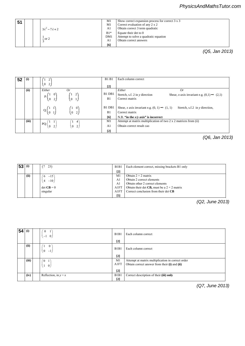|  | PhysicsAndMathsTutor.com |
|--|--------------------------|
|--|--------------------------|

| 51 | $3\lambda^2-7\lambda+2$ | M1<br>M1<br>A1            | Show correct expansion process for correct 3 x 3<br>Correct evaluation of any $2 \times 2$<br>Obtain correct 3 term quadratic |
|----|-------------------------|---------------------------|-------------------------------------------------------------------------------------------------------------------------------|
|    | $-$ or 2                | $B1*$<br>DM1<br>A1<br>[6] | Equate their det to 0<br>Attempt to solve a quadratic equation<br>Obtain correct answers                                      |

**k A1** Obtain correct answers and  $\mathbf{A}$  obtained answers and  $\mathbf{A}$ 

 **[2]** *2 2 2 2 2* **<b>***2 2 2 2 2 2 2 2 2 2 2 2* 

**6 (ii)** *Either Or Either Or* 

 $\mathbf{1}$  2  $\mathbf{2}$  72  $\mathbf{2}$   $\mathbf{3}$   $\mathbf{4}$   $\mathbf{5}$   $\mathbf{2}$  term  $\mathbf{3}$  term  $\mathbf{4}$   $\mathbf{5}$   $\mathbf{5}$   $\mathbf{6}$   $\mathbf{7}$   $\mathbf{8}$   $\mathbf{8}$   $\mathbf{9}$   $\mathbf{1}$   $\mathbf{1}$   $\mathbf{1}$   $\mathbf{1}$   $\mathbf{1}$   $\mathbf{1}$   $\mathbf{1}$ 

*(Q5, Jan 2013)*

| 52 | (i)   |                                                   |                                                | <b>B1B1</b>       | Each column correct                                                                          |
|----|-------|---------------------------------------------------|------------------------------------------------|-------------------|----------------------------------------------------------------------------------------------|
|    |       | $\overline{2}$<br>$\sqrt{0}$                      |                                                | $\lceil 2 \rceil$ |                                                                                              |
|    | (ii)  | Either                                            | Or                                             |                   | Either<br>Or                                                                                 |
|    |       |                                                   |                                                | B1 DB1            | Stretch, s.f. $2$ in $y$ direction<br>Shear, x-axis invariant e.g. $(0,1) \rightarrow (2,1)$ |
|    |       | $P:\begin{pmatrix} 1 & 0 \\ 0 & 2 \end{pmatrix}$  | $\begin{pmatrix} 1 & 2 \\ 0 & 1 \end{pmatrix}$ | B1                | Correct matrix                                                                               |
|    |       |                                                   |                                                | B1 DB1            | Shear, x axis invariant e.g. $(0, 1) \rightarrow (1, 1)$<br>Stretch, s.f.2 in $y$ direction, |
|    |       | $Q: \begin{pmatrix} 1 & 1 \\ 0 & 1 \end{pmatrix}$ | $\begin{pmatrix} 1 & 0 \\ 0 & 2 \end{pmatrix}$ | B1                | Correct matrix                                                                               |
|    |       |                                                   |                                                | [6]               | N.B. "in the $x/y$ axis" is incorrect                                                        |
|    | (iii) |                                                   | $\left(1\quad4\right)$                         | M1                | Attempt at matrix multiplication of two 2 x 2 matrices from (ii)                             |
|    |       | $PQ$ :<br>$\overline{2}$<br>$\theta$              | $\begin{pmatrix} 0 & 2 \end{pmatrix}$          | A1                | Obtain correct result cao                                                                    |
|    |       |                                                   |                                                | $[2]$             |                                                                                              |

*(Q6, Jan 2013)*

 $\sqrt{3}$  – 3i  $\sqrt{3}$  – 3i  $\sqrt{3}$  – 3i  $\sqrt{3}$  – 3i  $\sqrt{3}$  – 3i  $\sqrt{3}$  – 3i  $\sqrt{3}$  – 3i  $\sqrt{3}$  – 3i  $\sqrt{3}$  – 3i  $\sqrt{3}$  – 3i  $\sqrt{3}$  – 3i  $\sqrt{3}$  – 3i  $\sqrt{3}$  – 3i  $\sqrt{3}$  – 3i  $\sqrt{3}$  – 3i  $\sqrt{3}$  – 3i  $\sqrt{3}$  – 3i **4725 Mark Scheme June 2013** 

**22 22 22 22 22 22 22** 

*PMT*

| 53 | (i)  | 23)           | B1B1           | Each element correct, missing brackets B1 only             |
|----|------|---------------|----------------|------------------------------------------------------------|
|    |      |               | $[2]$          |                                                            |
|    | (ii) | $-15$         | M1             | Obtain $2 \times 2$ matrix                                 |
|    |      | $-10$         | A <sub>1</sub> | Obtain 2 correct elements                                  |
|    |      |               | A1             | Obtain other 2 correct elements                            |
|    |      | $\det$ CB = 0 | A1FT           | Obtain their det <b>CB</b> , must be a $2 \times 2$ matrix |
|    |      | singular      | A1FT           | Correct conclusion from their det CB                       |
|    |      |               | $[5]$          |                                                            |

(Q2, June 2013)

| 54 | (i)   | $\overline{0}$<br>$\overline{0}$<br>$+1$           | B1B1<br>$[2]$                 | Each column correct                               |
|----|-------|----------------------------------------------------|-------------------------------|---------------------------------------------------|
|    |       |                                                    |                               |                                                   |
|    | (ii)  | $\bf{0}$<br>$\mathbf{1}$<br>$\overline{0}$<br>$-1$ | B1B1                          | Each column correct                               |
|    |       |                                                    | $[2]$                         |                                                   |
|    | (iii) | $\theta$<br>$\overline{1}$                         | M1                            | Attempt at matrix multiplication in correct order |
|    |       | $\mathbf{0}$<br>1                                  | A1FT                          | Obtain correct answer from their (i) and (ii)     |
|    |       |                                                    | $[2]$                         |                                                   |
|    | (iv)  | Reflection, in $y = x$                             | B <sub>1</sub> B <sub>1</sub> | Correct description of their (iii) only           |
|    |       |                                                    | $[2]$                         |                                                   |

*(Q7, June 2013)*